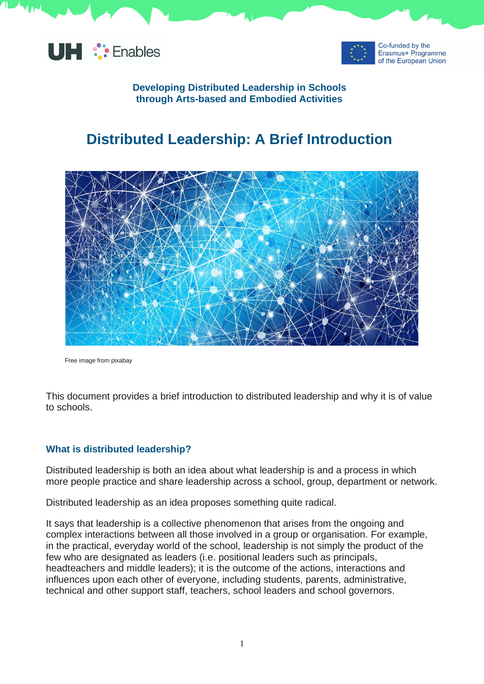



### **Developing Distributed Leadership in Schools through Arts-based and Embodied Activities**

# **Distributed Leadership: A Brief Introduction**



Free image from pixabay

This document provides a brief introduction to distributed leadership and why it is of value to schools.

#### **What is distributed leadership?**

Distributed leadership is both an idea about what leadership is and a process in which more people practice and share leadership across a school, group, department or network.

Distributed leadership as an idea proposes something quite radical.

It says that leadership is a collective phenomenon that arises from the ongoing and complex interactions between all those involved in a group or organisation. For example, in the practical, everyday world of the school, leadership is not simply the product of the few who are designated as leaders (i.e. positional leaders such as principals, headteachers and middle leaders); it is the outcome of the actions, interactions and influences upon each other of everyone, including students, parents, administrative, technical and other support staff, teachers, school leaders and school governors.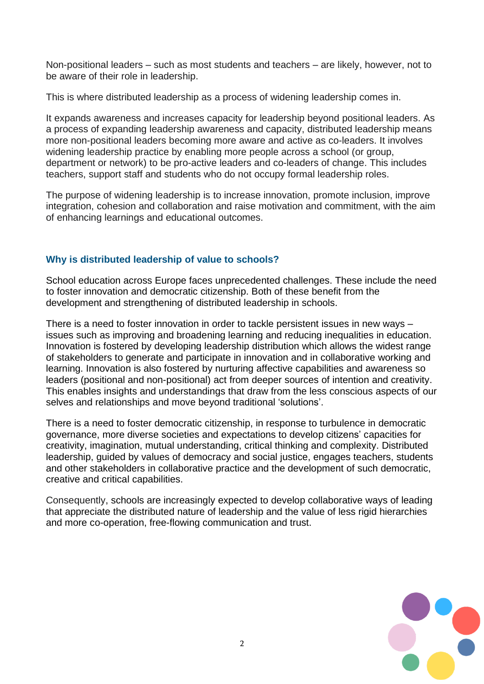Non-positional leaders – such as most students and teachers – are likely, however, not to be aware of their role in leadership.

This is where distributed leadership as a process of widening leadership comes in.

It expands awareness and increases capacity for leadership beyond positional leaders. As a process of expanding leadership awareness and capacity, distributed leadership means more non-positional leaders becoming more aware and active as co-leaders. It involves widening leadership practice by enabling more people across a school (or group, department or network) to be pro-active leaders and co-leaders of change. This includes teachers, support staff and students who do not occupy formal leadership roles.

The purpose of widening leadership is to increase innovation, promote inclusion, improve integration, cohesion and collaboration and raise motivation and commitment, with the aim of enhancing learnings and educational outcomes.

## **Why is distributed leadership of value to schools?**

School education across Europe faces unprecedented challenges. These include the need to foster innovation and democratic citizenship. Both of these benefit from the development and strengthening of distributed leadership in schools.

There is a need to foster innovation in order to tackle persistent issues in new ways – issues such as improving and broadening learning and reducing inequalities in education. Innovation is fostered by developing leadership distribution which allows the widest range of stakeholders to generate and participate in innovation and in collaborative working and learning. Innovation is also fostered by nurturing affective capabilities and awareness so leaders (positional and non-positional) act from deeper sources of intention and creativity. This enables insights and understandings that draw from the less conscious aspects of our selves and relationships and move beyond traditional 'solutions'.

There is a need to foster democratic citizenship, in response to turbulence in democratic governance, more diverse societies and expectations to develop citizens' capacities for creativity, imagination, mutual understanding, critical thinking and complexity. Distributed leadership, guided by values of democracy and social justice, engages teachers, students and other stakeholders in collaborative practice and the development of such democratic, creative and critical capabilities.

Consequently, schools are increasingly expected to develop collaborative ways of leading that appreciate the distributed nature of leadership and the value of less rigid hierarchies and more co-operation, free-flowing communication and trust.